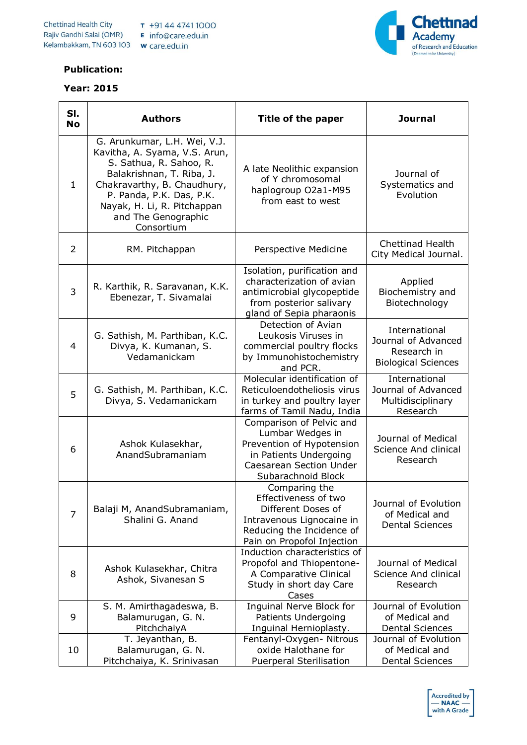

## **Publication:**

## **Year: 2015**

| SI.<br><b>No</b> | <b>Authors</b>                                                                                                                                                                                                                                       | Title of the paper                                                                                                                                          | <b>Journal</b>                                                                    |
|------------------|------------------------------------------------------------------------------------------------------------------------------------------------------------------------------------------------------------------------------------------------------|-------------------------------------------------------------------------------------------------------------------------------------------------------------|-----------------------------------------------------------------------------------|
| $\mathbf{1}$     | G. Arunkumar, L.H. Wei, V.J.<br>Kavitha, A. Syama, V.S. Arun,<br>S. Sathua, R. Sahoo, R.<br>Balakrishnan, T. Riba, J.<br>Chakravarthy, B. Chaudhury,<br>P. Panda, P.K. Das, P.K.<br>Nayak, H. Li, R. Pitchappan<br>and The Genographic<br>Consortium | A late Neolithic expansion<br>of Y chromosomal<br>haplogroup O2a1-M95<br>from east to west                                                                  | Journal of<br>Systematics and<br>Evolution                                        |
| $\overline{2}$   | RM. Pitchappan                                                                                                                                                                                                                                       | Perspective Medicine                                                                                                                                        | <b>Chettinad Health</b><br>City Medical Journal.                                  |
| 3                | R. Karthik, R. Saravanan, K.K.<br>Ebenezar, T. Sivamalai                                                                                                                                                                                             | Isolation, purification and<br>characterization of avian<br>antimicrobial glycopeptide<br>from posterior salivary<br>gland of Sepia pharaonis               | Applied<br>Biochemistry and<br>Biotechnology                                      |
| 4                | G. Sathish, M. Parthiban, K.C.<br>Divya, K. Kumanan, S.<br>Vedamanickam                                                                                                                                                                              | Detection of Avian<br>Leukosis Viruses in<br>commercial poultry flocks<br>by Immunohistochemistry<br>and PCR.                                               | International<br>Journal of Advanced<br>Research in<br><b>Biological Sciences</b> |
| 5                | G. Sathish, M. Parthiban, K.C.<br>Divya, S. Vedamanickam                                                                                                                                                                                             | Molecular identification of<br>Reticuloendotheliosis virus<br>in turkey and poultry layer<br>farms of Tamil Nadu, India                                     | International<br>Journal of Advanced<br>Multidisciplinary<br>Research             |
| 6                | Ashok Kulasekhar,<br>AnandSubramaniam                                                                                                                                                                                                                | Comparison of Pelvic and<br>Lumbar Wedges in<br>Prevention of Hypotension<br>in Patients Undergoing<br><b>Caesarean Section Under</b><br>Subarachnoid Block | Journal of Medical<br>Science And clinical<br>Research                            |
| 7                | Balaji M, AnandSubramaniam,<br>Shalini G. Anand                                                                                                                                                                                                      | Comparing the<br>Effectiveness of two<br>Different Doses of<br>Intravenous Lignocaine in<br>Reducing the Incidence of<br>Pain on Propofol Injection         | Journal of Evolution<br>of Medical and<br><b>Dental Sciences</b>                  |
| 8                | Ashok Kulasekhar, Chitra<br>Ashok, Sivanesan S                                                                                                                                                                                                       | Induction characteristics of<br>Propofol and Thiopentone-<br>A Comparative Clinical<br>Study in short day Care<br>Cases                                     | Journal of Medical<br>Science And clinical<br>Research                            |
| 9                | S. M. Amirthagadeswa, B.<br>Balamurugan, G. N.<br>PitchchaiyA                                                                                                                                                                                        | <b>Inquinal Nerve Block for</b><br>Patients Undergoing<br>Inguinal Hernioplasty.                                                                            | Journal of Evolution<br>of Medical and<br><b>Dental Sciences</b>                  |
| 10               | T. Jeyanthan, B.<br>Balamurugan, G. N.<br>Pitchchaiya, K. Srinivasan                                                                                                                                                                                 | Fentanyl-Oxygen- Nitrous<br>oxide Halothane for<br><b>Puerperal Sterilisation</b>                                                                           | Journal of Evolution<br>of Medical and<br><b>Dental Sciences</b>                  |

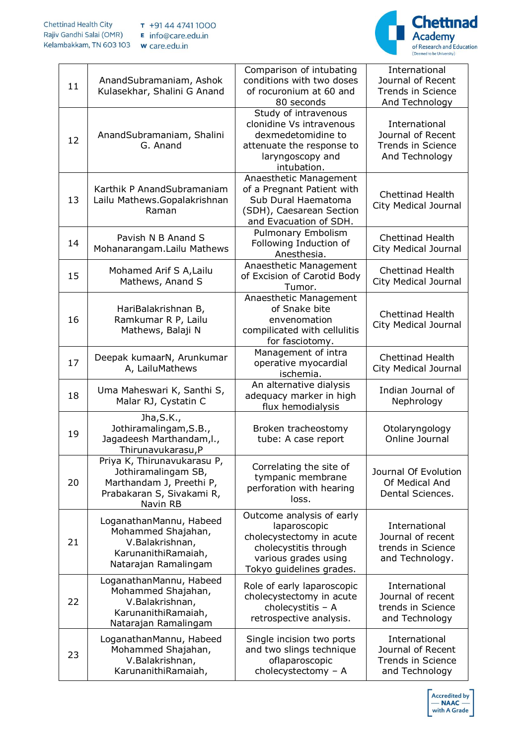

| 11 | AnandSubramaniam, Ashok<br>Kulasekhar, Shalini G Anand                                                                  | Comparison of intubating<br>conditions with two doses<br>of rocuronium at 60 and<br>80 seconds                                                     | International<br>Journal of Recent<br><b>Trends in Science</b><br>And Technology |
|----|-------------------------------------------------------------------------------------------------------------------------|----------------------------------------------------------------------------------------------------------------------------------------------------|----------------------------------------------------------------------------------|
| 12 | AnandSubramaniam, Shalini<br>G. Anand                                                                                   | Study of intravenous<br>clonidine Vs intravenous<br>dexmedetomidine to<br>attenuate the response to<br>laryngoscopy and<br>intubation.             | International<br>Journal of Recent<br><b>Trends in Science</b><br>And Technology |
| 13 | Karthik P AnandSubramaniam<br>Lailu Mathews.Gopalakrishnan<br>Raman                                                     | Anaesthetic Management<br>of a Pregnant Patient with<br>Sub Dural Haematoma<br>(SDH), Caesarean Section<br>and Evacuation of SDH.                  | <b>Chettinad Health</b><br>City Medical Journal                                  |
| 14 | Pavish N B Anand S<br>Mohanarangam.Lailu Mathews                                                                        | Pulmonary Embolism<br>Following Induction of<br>Anesthesia.                                                                                        | <b>Chettinad Health</b><br>City Medical Journal                                  |
| 15 | Mohamed Arif S A, Lailu<br>Mathews, Anand S                                                                             | Anaesthetic Management<br>of Excision of Carotid Body<br>Tumor.                                                                                    | <b>Chettinad Health</b><br>City Medical Journal                                  |
| 16 | HariBalakrishnan B,<br>Ramkumar R P, Lailu<br>Mathews, Balaji N                                                         | Anaesthetic Management<br>of Snake bite<br>envenomation<br>compilicated with cellulitis<br>for fasciotomy.                                         | <b>Chettinad Health</b><br>City Medical Journal                                  |
| 17 | Deepak kumaarN, Arunkumar<br>A, LailuMathews                                                                            | Management of intra<br>operative myocardial<br>ischemia.                                                                                           | <b>Chettinad Health</b><br>City Medical Journal                                  |
| 18 | Uma Maheswari K, Santhi S,<br>Malar RJ, Cystatin C                                                                      | An alternative dialysis<br>adequacy marker in high<br>flux hemodialysis                                                                            | Indian Journal of<br>Nephrology                                                  |
| 19 | Jha, S.K.,<br>Jothiramalingam, S.B.,<br>Jagadeesh Marthandam, I.,<br>Thirunavukarasu, P                                 | Broken tracheostomy<br>tube: A case report                                                                                                         | Otolaryngology<br>Online Journal                                                 |
| 20 | Priya K, Thirunavukarasu P,<br>Jothiramalingam SB,<br>Marthandam J, Preethi P,<br>Prabakaran S, Sivakami R,<br>Navin RB | Correlating the site of<br>tympanic membrane<br>perforation with hearing<br>loss.                                                                  | Journal Of Evolution<br>Of Medical And<br>Dental Sciences.                       |
| 21 | LoganathanMannu, Habeed<br>Mohammed Shajahan,<br>V.Balakrishnan,<br>KarunanithiRamaiah,<br>Natarajan Ramalingam         | Outcome analysis of early<br>laparoscopic<br>cholecystectomy in acute<br>cholecystitis through<br>various grades using<br>Tokyo guidelines grades. | International<br>Journal of recent<br>trends in Science<br>and Technology.       |
| 22 | LoganathanMannu, Habeed<br>Mohammed Shajahan,<br>V.Balakrishnan,<br>KarunanithiRamaiah,<br>Natarajan Ramalingam         | Role of early laparoscopic<br>cholecystectomy in acute<br>cholecystitis - A<br>retrospective analysis.                                             | International<br>Journal of recent<br>trends in Science<br>and Technology        |
| 23 | LoganathanMannu, Habeed<br>Mohammed Shajahan,<br>V.Balakrishnan,<br>KarunanithiRamaiah,                                 | Single incision two ports<br>and two slings technique<br>oflaparoscopic<br>cholecystectomy - A                                                     | International<br>Journal of Recent<br><b>Trends in Science</b><br>and Technology |

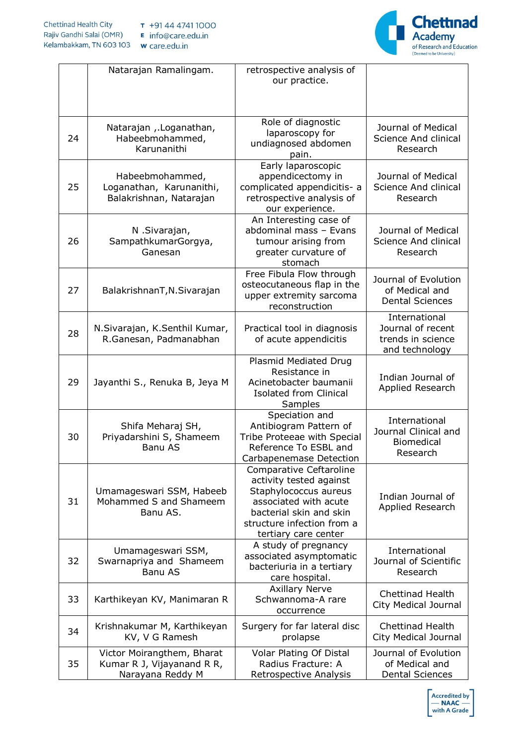

|    | Natarajan Ramalingam.                                                        | retrospective analysis of<br>our practice.                                                                                                                                            |                                                                           |
|----|------------------------------------------------------------------------------|---------------------------------------------------------------------------------------------------------------------------------------------------------------------------------------|---------------------------------------------------------------------------|
| 24 | Natarajan , Loganathan,<br>Habeebmohammed,<br>Karunanithi                    | Role of diagnostic<br>laparoscopy for<br>undiagnosed abdomen<br>pain.                                                                                                                 | Journal of Medical<br>Science And clinical<br>Research                    |
| 25 | Habeebmohammed,<br>Loganathan, Karunanithi,<br>Balakrishnan, Natarajan       | Early laparoscopic<br>appendicectomy in<br>complicated appendicitis- a<br>retrospective analysis of<br>our experience.                                                                | Journal of Medical<br>Science And clinical<br>Research                    |
| 26 | N .Sivarajan,<br>SampathkumarGorgya,<br>Ganesan                              | An Interesting case of<br>abdominal mass - Evans<br>tumour arising from<br>greater curvature of<br>stomach                                                                            | Journal of Medical<br>Science And clinical<br>Research                    |
| 27 | BalakrishnanT, N. Sivarajan                                                  | Free Fibula Flow through<br>osteocutaneous flap in the<br>upper extremity sarcoma<br>reconstruction                                                                                   | Journal of Evolution<br>of Medical and<br><b>Dental Sciences</b>          |
| 28 | N.Sivarajan, K.Senthil Kumar,<br>R.Ganesan, Padmanabhan                      | Practical tool in diagnosis<br>of acute appendicitis                                                                                                                                  | International<br>Journal of recent<br>trends in science<br>and technology |
| 29 | Jayanthi S., Renuka B, Jeya M                                                | Plasmid Mediated Drug<br>Resistance in<br>Acinetobacter baumanii<br><b>Isolated from Clinical</b><br>Samples                                                                          | Indian Journal of<br>Applied Research                                     |
| 30 | Shifa Meharaj SH,<br>Priyadarshini S, Shameem<br><b>Banu AS</b>              | Speciation and<br>Antibiogram Pattern of<br>Tribe Proteeae with Special<br>Reference To ESBL and<br>Carbapenemase Detection                                                           | International<br>Journal Clinical and<br><b>Biomedical</b><br>Research    |
| 31 | Umamageswari SSM, Habeeb<br>Mohammed S and Shameem<br>Banu AS.               | Comparative Ceftaroline<br>activity tested against<br>Staphylococcus aureus<br>associated with acute<br>bacterial skin and skin<br>structure infection from a<br>tertiary care center | Indian Journal of<br>Applied Research                                     |
| 32 | Umamageswari SSM,<br>Swarnapriya and Shameem<br><b>Banu AS</b>               | A study of pregnancy<br>associated asymptomatic<br>bacteriuria in a tertiary<br>care hospital.                                                                                        | International<br>Journal of Scientific<br>Research                        |
| 33 | Karthikeyan KV, Manimaran R                                                  | <b>Axillary Nerve</b><br>Schwannoma-A rare<br>occurrence                                                                                                                              | <b>Chettinad Health</b><br>City Medical Journal                           |
| 34 | Krishnakumar M, Karthikeyan<br>KV, V G Ramesh                                | Surgery for far lateral disc<br>prolapse                                                                                                                                              | Chettinad Health<br>City Medical Journal                                  |
| 35 | Victor Moirangthem, Bharat<br>Kumar R J, Vijayanand R R,<br>Narayana Reddy M | Volar Plating Of Distal<br>Radius Fracture: A<br>Retrospective Analysis                                                                                                               | Journal of Evolution<br>of Medical and<br><b>Dental Sciences</b>          |

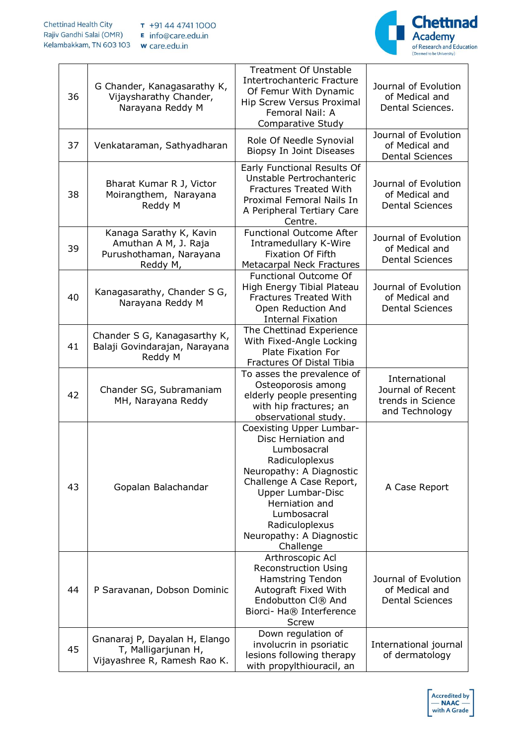

| 36 | G Chander, Kanagasarathy K,<br>Vijaysharathy Chander,<br>Narayana Reddy M              | <b>Treatment Of Unstable</b><br>Intertrochanteric Fracture<br>Of Femur With Dynamic<br><b>Hip Screw Versus Proximal</b><br>Femoral Nail: A<br>Comparative Study                                                                                                  | Journal of Evolution<br>of Medical and<br>Dental Sciences.                |
|----|----------------------------------------------------------------------------------------|------------------------------------------------------------------------------------------------------------------------------------------------------------------------------------------------------------------------------------------------------------------|---------------------------------------------------------------------------|
| 37 | Venkataraman, Sathyadharan                                                             | Role Of Needle Synovial<br>Biopsy In Joint Diseases                                                                                                                                                                                                              | Journal of Evolution<br>of Medical and<br><b>Dental Sciences</b>          |
| 38 | Bharat Kumar R J, Victor<br>Moirangthem, Narayana<br>Reddy M                           | Early Functional Results Of<br>Unstable Pertrochanteric<br><b>Fractures Treated With</b><br>Proximal Femoral Nails In<br>A Peripheral Tertiary Care<br>Centre.                                                                                                   | Journal of Evolution<br>of Medical and<br><b>Dental Sciences</b>          |
| 39 | Kanaga Sarathy K, Kavin<br>Amuthan A M, J. Raja<br>Purushothaman, Narayana<br>Reddy M, | <b>Functional Outcome After</b><br>Intramedullary K-Wire<br><b>Fixation Of Fifth</b><br>Metacarpal Neck Fractures                                                                                                                                                | Journal of Evolution<br>of Medical and<br><b>Dental Sciences</b>          |
| 40 | Kanagasarathy, Chander S G,<br>Narayana Reddy M                                        | Functional Outcome Of<br>High Energy Tibial Plateau<br><b>Fractures Treated With</b><br>Open Reduction And<br><b>Internal Fixation</b>                                                                                                                           | Journal of Evolution<br>of Medical and<br><b>Dental Sciences</b>          |
| 41 | Chander S G, Kanagasarthy K,<br>Balaji Govindarajan, Narayana<br>Reddy M               | The Chettinad Experience<br>With Fixed-Angle Locking<br>Plate Fixation For<br>Fractures Of Distal Tibia                                                                                                                                                          |                                                                           |
| 42 | Chander SG, Subramaniam<br>MH, Narayana Reddy                                          | To asses the prevalence of<br>Osteoporosis among<br>elderly people presenting<br>with hip fractures; an<br>observational study.                                                                                                                                  | International<br>Journal of Recent<br>trends in Science<br>and Technology |
| 43 | Gopalan Balachandar                                                                    | Coexisting Upper Lumbar-<br>Disc Herniation and<br>Lumbosacral<br>Radiculoplexus<br>Neuropathy: A Diagnostic<br>Challenge A Case Report,<br><b>Upper Lumbar-Disc</b><br>Herniation and<br>Lumbosacral<br>Radiculoplexus<br>Neuropathy: A Diagnostic<br>Challenge | A Case Report                                                             |
| 44 | P Saravanan, Dobson Dominic                                                            | Arthroscopic Acl<br><b>Reconstruction Using</b><br>Hamstring Tendon<br>Autograft Fixed With<br>Endobutton CI® And<br>Biorci- Ha® Interference<br>Screw                                                                                                           | Journal of Evolution<br>of Medical and<br><b>Dental Sciences</b>          |
| 45 | Gnanaraj P, Dayalan H, Elango<br>T, Malligarjunan H,<br>Vijayashree R, Ramesh Rao K.   | Down regulation of<br>involucrin in psoriatic<br>lesions following therapy<br>with propylthiouracil, an                                                                                                                                                          | International journal<br>of dermatology                                   |

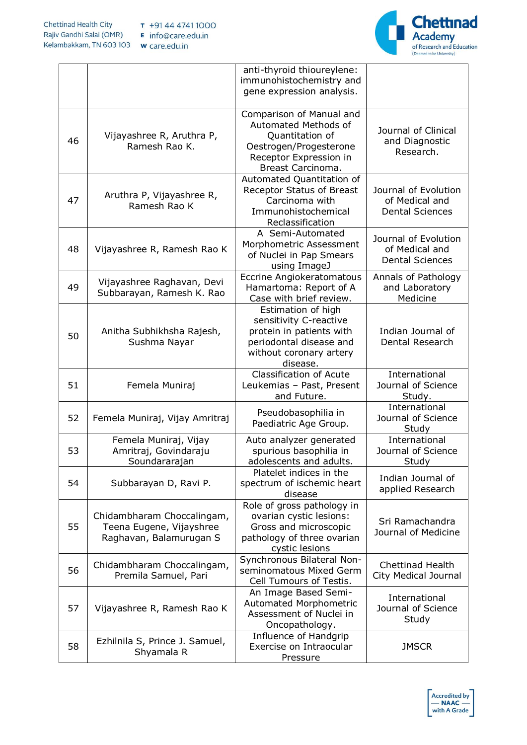

|    |                                                                                   | anti-thyroid thioureylene:<br>immunohistochemistry and<br>gene expression analysis.                                                          |                                                                  |
|----|-----------------------------------------------------------------------------------|----------------------------------------------------------------------------------------------------------------------------------------------|------------------------------------------------------------------|
| 46 | Vijayashree R, Aruthra P,<br>Ramesh Rao K.                                        | Comparison of Manual and<br>Automated Methods of<br>Quantitation of<br>Oestrogen/Progesterone<br>Receptor Expression in<br>Breast Carcinoma. | Journal of Clinical<br>and Diagnostic<br>Research.               |
| 47 | Aruthra P, Vijayashree R,<br>Ramesh Rao K                                         | Automated Quantitation of<br>Receptor Status of Breast<br>Carcinoma with<br>Immunohistochemical<br>Reclassification                          | Journal of Evolution<br>of Medical and<br><b>Dental Sciences</b> |
| 48 | Vijayashree R, Ramesh Rao K                                                       | A Semi-Automated<br>Morphometric Assessment<br>of Nuclei in Pap Smears<br>using ImageJ                                                       | Journal of Evolution<br>of Medical and<br><b>Dental Sciences</b> |
| 49 | Vijayashree Raghavan, Devi<br>Subbarayan, Ramesh K. Rao                           | Eccrine Angiokeratomatous<br>Hamartoma: Report of A<br>Case with brief review.                                                               | Annals of Pathology<br>and Laboratory<br>Medicine                |
| 50 | Anitha Subhikhsha Rajesh,<br>Sushma Nayar                                         | Estimation of high<br>sensitivity C-reactive<br>protein in patients with<br>periodontal disease and<br>without coronary artery<br>disease.   | Indian Journal of<br>Dental Research                             |
| 51 | Femela Muniraj                                                                    | Classification of Acute<br>Leukemias - Past, Present<br>and Future.                                                                          | International<br>Journal of Science<br>Study.                    |
| 52 | Femela Muniraj, Vijay Amritraj                                                    | Pseudobasophilia in<br>Paediatric Age Group.                                                                                                 | International<br>Journal of Science<br>Study                     |
| 53 | Femela Muniraj, Vijay<br>Amritraj, Govindaraju<br>Soundararajan                   | Auto analyzer generated<br>spurious basophilia in<br>adolescents and adults.                                                                 | International<br>Journal of Science<br>Study                     |
| 54 | Subbarayan D, Ravi P.                                                             | Platelet indices in the<br>spectrum of ischemic heart<br>disease                                                                             | Indian Journal of<br>applied Research                            |
| 55 | Chidambharam Choccalingam,<br>Teena Eugene, Vijayshree<br>Raghavan, Balamurugan S | Role of gross pathology in<br>ovarian cystic lesions:<br>Gross and microscopic<br>pathology of three ovarian<br>cystic lesions               | Sri Ramachandra<br>Journal of Medicine                           |
| 56 | Chidambharam Choccalingam,<br>Premila Samuel, Pari                                | Synchronous Bilateral Non-<br>seminomatous Mixed Germ<br>Cell Tumours of Testis.                                                             | <b>Chettinad Health</b><br>City Medical Journal                  |
| 57 | Vijayashree R, Ramesh Rao K                                                       | An Image Based Semi-<br>Automated Morphometric<br>Assessment of Nuclei in<br>Oncopathology.                                                  | International<br>Journal of Science<br>Study                     |
| 58 | Ezhilnila S, Prince J. Samuel,<br>Shyamala R                                      | Influence of Handgrip<br>Exercise on Intraocular<br>Pressure                                                                                 | <b>JMSCR</b>                                                     |

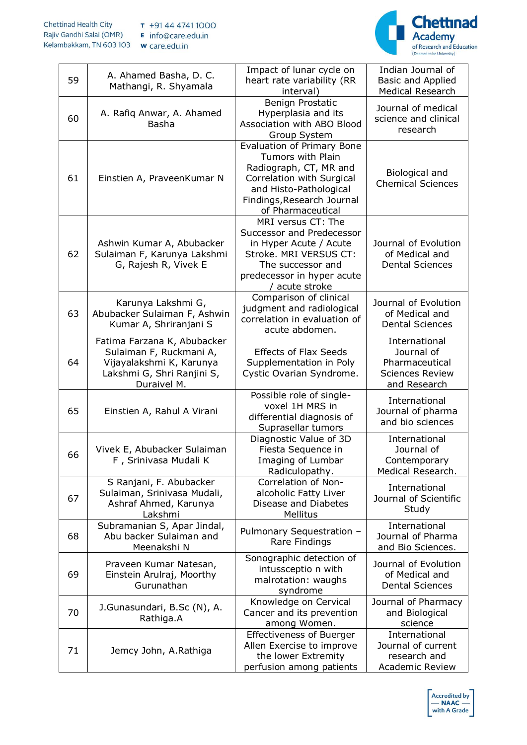

| 59 | A. Ahamed Basha, D. C.<br>Mathangi, R. Shyamala                                                                                 | Impact of lunar cycle on<br>heart rate variability (RR<br>interval)                                                                                                                        | Indian Journal of<br>Basic and Applied<br>Medical Research                              |
|----|---------------------------------------------------------------------------------------------------------------------------------|--------------------------------------------------------------------------------------------------------------------------------------------------------------------------------------------|-----------------------------------------------------------------------------------------|
| 60 | A. Rafiq Anwar, A. Ahamed<br>Basha                                                                                              | Benign Prostatic<br>Hyperplasia and its<br>Association with ABO Blood<br>Group System                                                                                                      | Journal of medical<br>science and clinical<br>research                                  |
| 61 | Einstien A, PraveenKumar N                                                                                                      | <b>Evaluation of Primary Bone</b><br>Tumors with Plain<br>Radiograph, CT, MR and<br>Correlation with Surgical<br>and Histo-Pathological<br>Findings, Research Journal<br>of Pharmaceutical | Biological and<br><b>Chemical Sciences</b>                                              |
| 62 | Ashwin Kumar A, Abubacker<br>Sulaiman F, Karunya Lakshmi<br>G, Rajesh R, Vivek E                                                | MRI versus CT: The<br>Successor and Predecessor<br>in Hyper Acute / Acute<br>Stroke. MRI VERSUS CT:<br>The successor and<br>predecessor in hyper acute<br>acute stroke                     | Journal of Evolution<br>of Medical and<br><b>Dental Sciences</b>                        |
| 63 | Karunya Lakshmi G,<br>Abubacker Sulaiman F, Ashwin<br>Kumar A, Shriranjani S                                                    | Comparison of clinical<br>judgment and radiological<br>correlation in evaluation of<br>acute abdomen.                                                                                      | Journal of Evolution<br>of Medical and<br><b>Dental Sciences</b>                        |
| 64 | Fatima Farzana K, Abubacker<br>Sulaiman F, Ruckmani A,<br>Vijayalakshmi K, Karunya<br>Lakshmi G, Shri Ranjini S,<br>Duraivel M. | <b>Effects of Flax Seeds</b><br>Supplementation in Poly<br>Cystic Ovarian Syndrome.                                                                                                        | International<br>Journal of<br>Pharmaceutical<br><b>Sciences Review</b><br>and Research |
| 65 | Einstien A, Rahul A Virani                                                                                                      | Possible role of single-<br>voxel 1H MRS in<br>differential diagnosis of<br>Suprasellar tumors                                                                                             | International<br>Journal of pharma<br>and bio sciences                                  |
| 66 | Vivek E, Abubacker Sulaiman<br>F, Srinivasa Mudali K                                                                            | Diagnostic Value of 3D<br>Fiesta Sequence in<br>Imaging of Lumbar<br>Radiculopathy.                                                                                                        | International<br>Journal of<br>Contemporary<br>Medical Research.                        |
| 67 | S Ranjani, F. Abubacker<br>Sulaiman, Srinivasa Mudali,<br>Ashraf Ahmed, Karunya<br>Lakshmi                                      | Correlation of Non-<br>alcoholic Fatty Liver<br>Disease and Diabetes<br>Mellitus                                                                                                           | International<br>Journal of Scientific<br>Study                                         |
| 68 | Subramanian S, Apar Jindal,<br>Abu backer Sulaiman and<br>Meenakshi N                                                           | Pulmonary Sequestration -<br>Rare Findings                                                                                                                                                 | International<br>Journal of Pharma<br>and Bio Sciences.                                 |
| 69 | Praveen Kumar Natesan,<br>Einstein Arulraj, Moorthy<br>Gurunathan                                                               | Sonographic detection of<br>intussceptio n with<br>malrotation: waughs<br>syndrome                                                                                                         | Journal of Evolution<br>of Medical and<br><b>Dental Sciences</b>                        |
| 70 | J.Gunasundari, B.Sc (N), A.<br>Rathiga.A                                                                                        | Knowledge on Cervical<br>Cancer and its prevention<br>among Women.                                                                                                                         | Journal of Pharmacy<br>and Biological<br>science                                        |
| 71 | Jemcy John, A.Rathiga                                                                                                           | <b>Effectiveness of Buerger</b><br>Allen Exercise to improve<br>the lower Extremity<br>perfusion among patients                                                                            | International<br>Journal of current<br>research and<br><b>Academic Review</b>           |

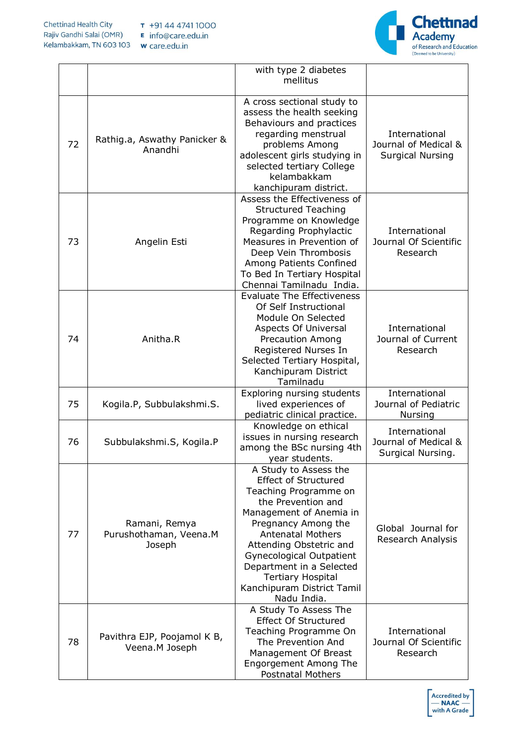

|    |                                                   | with type 2 diabetes<br>mellitus                                                                                                                                                                                                                                                                                                                     |                                                                  |
|----|---------------------------------------------------|------------------------------------------------------------------------------------------------------------------------------------------------------------------------------------------------------------------------------------------------------------------------------------------------------------------------------------------------------|------------------------------------------------------------------|
| 72 | Rathig.a, Aswathy Panicker &<br>Anandhi           | A cross sectional study to<br>assess the health seeking<br>Behaviours and practices<br>regarding menstrual<br>problems Among<br>adolescent girls studying in<br>selected tertiary College<br>kelambakkam<br>kanchipuram district.                                                                                                                    | International<br>Journal of Medical &<br><b>Surgical Nursing</b> |
| 73 | Angelin Esti                                      | Assess the Effectiveness of<br><b>Structured Teaching</b><br>Programme on Knowledge<br>Regarding Prophylactic<br>Measures in Prevention of<br>Deep Vein Thrombosis<br>Among Patients Confined<br>To Bed In Tertiary Hospital<br>Chennai Tamilnadu India.                                                                                             | International<br>Journal Of Scientific<br>Research               |
| 74 | Anitha.R                                          | <b>Evaluate The Effectiveness</b><br>Of Self Instructional<br>Module On Selected<br>Aspects Of Universal<br><b>Precaution Among</b><br>Registered Nurses In<br>Selected Tertiary Hospital,<br>Kanchipuram District<br>Tamilnadu                                                                                                                      | International<br>Journal of Current<br>Research                  |
| 75 | Kogila.P, Subbulakshmi.S.                         | Exploring nursing students<br>lived experiences of<br>pediatric clinical practice.                                                                                                                                                                                                                                                                   | International<br>Journal of Pediatric<br>Nursing                 |
| 76 | Subbulakshmi.S, Kogila.P                          | Knowledge on ethical<br>issues in nursing research<br>among the BSc nursing 4th<br>year students.                                                                                                                                                                                                                                                    | International<br>Journal of Medical &<br>Surgical Nursing.       |
| 77 | Ramani, Remya<br>Purushothaman, Veena.M<br>Joseph | A Study to Assess the<br><b>Effect of Structured</b><br>Teaching Programme on<br>the Prevention and<br>Management of Anemia in<br>Pregnancy Among the<br><b>Antenatal Mothers</b><br>Attending Obstetric and<br><b>Gynecological Outpatient</b><br>Department in a Selected<br><b>Tertiary Hospital</b><br>Kanchipuram District Tamil<br>Nadu India. | Global Journal for<br>Research Analysis                          |
| 78 | Pavithra EJP, Poojamol K B,<br>Veena.M Joseph     | A Study To Assess The<br><b>Effect Of Structured</b><br>Teaching Programme On<br>The Prevention And<br>Management Of Breast<br>Engorgement Among The<br><b>Postnatal Mothers</b>                                                                                                                                                                     | International<br>Journal Of Scientific<br>Research               |

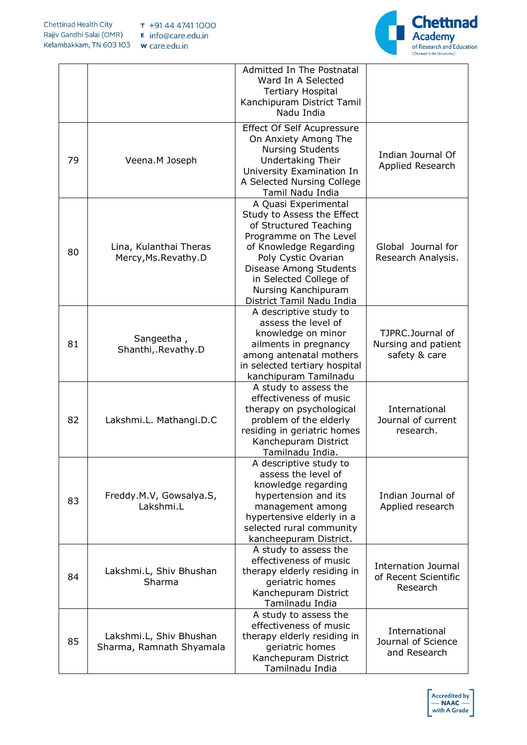

|    |                                                     | Admitted In The Postnatal<br>Ward In A Selected<br><b>Tertiary Hospital</b><br>Kanchipuram District Tamil<br>Nadu India                                                                                                                                         |                                                                |
|----|-----------------------------------------------------|-----------------------------------------------------------------------------------------------------------------------------------------------------------------------------------------------------------------------------------------------------------------|----------------------------------------------------------------|
| 79 | Veena.M Joseph                                      | <b>Effect Of Self Acupressure</b><br>On Anxiety Among The<br><b>Nursing Students</b><br>Undertaking Their<br>University Examination In<br>A Selected Nursing College<br>Tamil Nadu India                                                                        | Indian Journal Of<br>Applied Research                          |
| 80 | Lina, Kulanthai Theras<br>Mercy, Ms. Revathy. D     | A Quasi Experimental<br>Study to Assess the Effect<br>of Structured Teaching<br>Programme on The Level<br>of Knowledge Regarding<br>Poly Cystic Ovarian<br>Disease Among Students<br>in Selected College of<br>Nursing Kanchipuram<br>District Tamil Nadu India | Global Journal for<br>Research Analysis.                       |
| 81 | Sangeetha,<br>Shanthi, Revathy.D                    | A descriptive study to<br>assess the level of<br>knowledge on minor<br>ailments in pregnancy<br>among antenatal mothers<br>in selected tertiary hospital<br>kanchipuram Tamilnadu                                                                               | TJPRC.Journal of<br>Nursing and patient<br>safety & care       |
| 82 | Lakshmi.L. Mathangi.D.C                             | A study to assess the<br>effectiveness of music<br>therapy on psychological<br>problem of the elderly<br>residing in geriatric homes<br>Kanchepuram District<br>Tamilnadu India.                                                                                | International<br>Journal of current<br>research.               |
| 83 | Freddy.M.V, Gowsalya.S,<br>Lakshmi.L                | A descriptive study to<br>assess the level of<br>knowledge regarding<br>hypertension and its<br>management among<br>hypertensive elderly in a<br>selected rural community<br>kancheepuram District.                                                             | Indian Journal of<br>Applied research                          |
| 84 | Lakshmi.L, Shiv Bhushan<br>Sharma                   | A study to assess the<br>effectiveness of music<br>therapy elderly residing in<br>geriatric homes<br>Kanchepuram District<br>Tamilnadu India                                                                                                                    | <b>Internation Journal</b><br>of Recent Scientific<br>Research |
| 85 | Lakshmi.L, Shiv Bhushan<br>Sharma, Ramnath Shyamala | A study to assess the<br>effectiveness of music<br>therapy elderly residing in<br>geriatric homes<br>Kanchepuram District<br>Tamilnadu India                                                                                                                    | International<br>Journal of Science<br>and Research            |

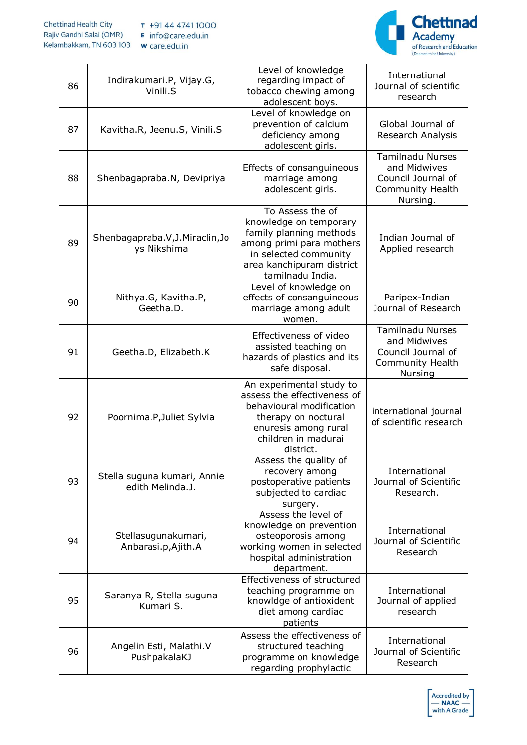

| 86 | Indirakumari.P, Vijay.G,<br>Vinili.S            | Level of knowledge<br>regarding impact of<br>tobacco chewing among<br>adolescent boys.                                                                                      | International<br>Journal of scientific<br>research                                                   |
|----|-------------------------------------------------|-----------------------------------------------------------------------------------------------------------------------------------------------------------------------------|------------------------------------------------------------------------------------------------------|
| 87 | Kavitha.R, Jeenu.S, Vinili.S                    | Level of knowledge on<br>prevention of calcium<br>deficiency among<br>adolescent girls.                                                                                     | Global Journal of<br>Research Analysis                                                               |
| 88 | Shenbagapraba.N, Devipriya                      | Effects of consanguineous<br>marriage among<br>adolescent girls.                                                                                                            | <b>Tamilnadu Nurses</b><br>and Midwives<br>Council Journal of<br><b>Community Health</b><br>Nursing. |
| 89 | Shenbagapraba.V, J. Miraclin, Jo<br>ys Nikshima | To Assess the of<br>knowledge on temporary<br>family planning methods<br>among primi para mothers<br>in selected community<br>area kanchipuram district<br>tamilnadu India. | Indian Journal of<br>Applied research                                                                |
| 90 | Nithya.G, Kavitha.P,<br>Geetha.D.               | Level of knowledge on<br>effects of consanguineous<br>marriage among adult<br>women.                                                                                        | Paripex-Indian<br>Journal of Research                                                                |
| 91 | Geetha.D, Elizabeth.K                           | Effectiveness of video<br>assisted teaching on<br>hazards of plastics and its<br>safe disposal.                                                                             | <b>Tamilnadu Nurses</b><br>and Midwives<br>Council Journal of<br><b>Community Health</b><br>Nursing  |
| 92 | Poornima.P, Juliet Sylvia                       | An experimental study to<br>assess the effectiveness of<br>behavioural modification<br>therapy on noctural<br>enuresis among rural<br>children in madurai<br>district.      | international journal<br>of scientific research                                                      |
| 93 | Stella suguna kumari, Annie<br>edith Melinda.J. | Assess the quality of<br>recovery among<br>postoperative patients<br>subjected to cardiac<br>surgery.                                                                       | International<br>Journal of Scientific<br>Research.                                                  |
| 94 | Stellasugunakumari,<br>Anbarasi.p,Ajith.A       | Assess the level of<br>knowledge on prevention<br>osteoporosis among<br>working women in selected<br>hospital administration<br>department.                                 | International<br>Journal of Scientific<br>Research                                                   |
| 95 | Saranya R, Stella suguna<br>Kumari S.           | Effectiveness of structured<br>teaching programme on<br>knowldge of antioxident<br>diet among cardiac<br>patients                                                           | International<br>Journal of applied<br>research                                                      |
| 96 | Angelin Esti, Malathi.V<br>PushpakalaKJ         | Assess the effectiveness of<br>structured teaching<br>programme on knowledge<br>regarding prophylactic                                                                      | International<br>Journal of Scientific<br>Research                                                   |

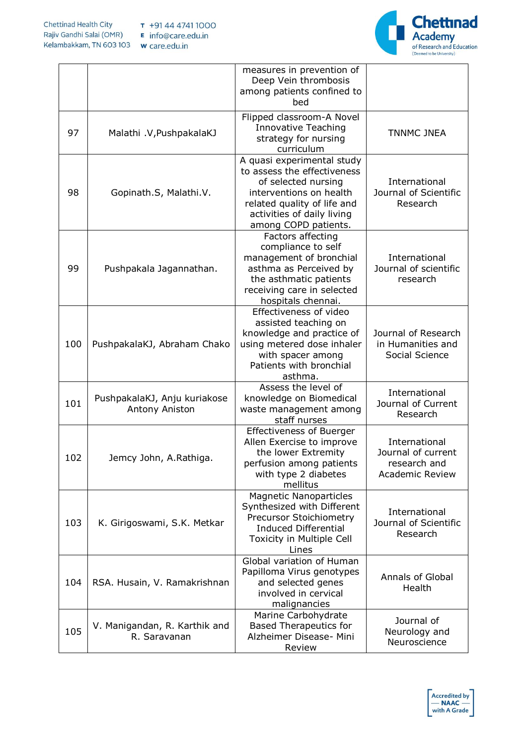

|     |                                                | measures in prevention of<br>Deep Vein thrombosis<br>among patients confined to<br>bed                                                                                                           |                                                                               |
|-----|------------------------------------------------|--------------------------------------------------------------------------------------------------------------------------------------------------------------------------------------------------|-------------------------------------------------------------------------------|
| 97  | Malathi .V, PushpakalaKJ                       | Flipped classroom-A Novel<br><b>Innovative Teaching</b><br>strategy for nursing<br>curriculum                                                                                                    | <b>TNNMC JNEA</b>                                                             |
| 98  | Gopinath.S, Malathi.V.                         | A quasi experimental study<br>to assess the effectiveness<br>of selected nursing<br>interventions on health<br>related quality of life and<br>activities of daily living<br>among COPD patients. | International<br>Journal of Scientific<br>Research                            |
| 99  | Pushpakala Jagannathan.                        | Factors affecting<br>compliance to self<br>management of bronchial<br>asthma as Perceived by<br>the asthmatic patients<br>receiving care in selected<br>hospitals chennai.                       | International<br>Journal of scientific<br>research                            |
| 100 | PushpakalaKJ, Abraham Chako                    | Effectiveness of video<br>assisted teaching on<br>knowledge and practice of<br>using metered dose inhaler<br>with spacer among<br>Patients with bronchial<br>asthma.                             | Journal of Research<br>in Humanities and<br>Social Science                    |
| 101 | PushpakalaKJ, Anju kuriakose<br>Antony Aniston | Assess the level of<br>knowledge on Biomedical<br>waste management among<br>staff nurses                                                                                                         | International<br>Journal of Current<br>Research                               |
| 102 | Jemcy John, A.Rathiga                          | <b>Effectiveness of Buerger</b><br>Allen Exercise to improve<br>the lower Extremity<br>perfusion among patients<br>with type 2 diabetes<br>mellitus                                              | International<br>Journal of current<br>research and<br><b>Academic Review</b> |
| 103 | K. Girigoswami, S.K. Metkar                    | <b>Magnetic Nanoparticles</b><br>Synthesized with Different<br>Precursor Stoichiometry<br><b>Induced Differential</b><br>Toxicity in Multiple Cell<br>Lines                                      | International<br>Journal of Scientific<br>Research                            |
| 104 | RSA. Husain, V. Ramakrishnan                   | Global variation of Human<br>Papilloma Virus genotypes<br>and selected genes<br>involved in cervical<br>malignancies                                                                             | Annals of Global<br>Health                                                    |
| 105 | V. Manigandan, R. Karthik and<br>R. Saravanan  | Marine Carbohydrate<br><b>Based Therapeutics for</b><br>Alzheimer Disease- Mini<br>Review                                                                                                        | Journal of<br>Neurology and<br>Neuroscience                                   |

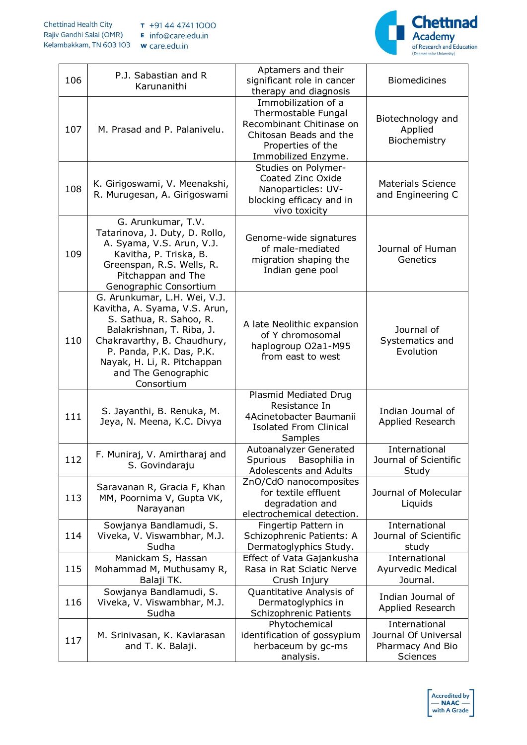

| 106 | P.J. Sabastian and R<br>Karunanithi                                                                                                                                                                                                                  | Aptamers and their<br>significant role in cancer<br>therapy and diagnosis                                                                    | <b>Biomedicines</b>                                                   |
|-----|------------------------------------------------------------------------------------------------------------------------------------------------------------------------------------------------------------------------------------------------------|----------------------------------------------------------------------------------------------------------------------------------------------|-----------------------------------------------------------------------|
| 107 | M. Prasad and P. Palanivelu.                                                                                                                                                                                                                         | Immobilization of a<br>Thermostable Fungal<br>Recombinant Chitinase on<br>Chitosan Beads and the<br>Properties of the<br>Immobilized Enzyme. | Biotechnology and<br>Applied<br>Biochemistry                          |
| 108 | K. Girigoswami, V. Meenakshi,<br>R. Murugesan, A. Girigoswami                                                                                                                                                                                        | Studies on Polymer-<br>Coated Zinc Oxide<br>Nanoparticles: UV-<br>blocking efficacy and in<br>vivo toxicity                                  | <b>Materials Science</b><br>and Engineering C                         |
| 109 | G. Arunkumar, T.V.<br>Tatarinova, J. Duty, D. Rollo,<br>A. Syama, V.S. Arun, V.J.<br>Kavitha, P. Triska, B.<br>Greenspan, R.S. Wells, R.<br>Pitchappan and The<br>Genographic Consortium                                                             | Genome-wide signatures<br>of male-mediated<br>migration shaping the<br>Indian gene pool                                                      | Journal of Human<br>Genetics                                          |
| 110 | G. Arunkumar, L.H. Wei, V.J.<br>Kavitha, A. Syama, V.S. Arun,<br>S. Sathua, R. Sahoo, R.<br>Balakrishnan, T. Riba, J.<br>Chakravarthy, B. Chaudhury,<br>P. Panda, P.K. Das, P.K.<br>Nayak, H. Li, R. Pitchappan<br>and The Genographic<br>Consortium | A late Neolithic expansion<br>of Y chromosomal<br>haplogroup O2a1-M95<br>from east to west                                                   | Journal of<br>Systematics and<br>Evolution                            |
| 111 | S. Jayanthi, B. Renuka, M.<br>Jeya, N. Meena, K.C. Divya                                                                                                                                                                                             | Plasmid Mediated Drug<br>Resistance In<br>4Acinetobacter Baumanii<br><b>Isolated From Clinical</b><br>Samples                                | Indian Journal of<br>Applied Research                                 |
| 112 | F. Muniraj, V. Amirtharaj and<br>S. Govindaraju                                                                                                                                                                                                      | Autoanalyzer Generated<br>Spurious Basophilia in<br>Adolescents and Adults                                                                   | International<br>Journal of Scientific<br>Study                       |
| 113 | Saravanan R, Gracia F, Khan<br>MM, Poornima V, Gupta VK,<br>Narayanan                                                                                                                                                                                | ZnO/CdO nanocomposites<br>for textile effluent<br>degradation and<br>electrochemical detection.                                              | Journal of Molecular<br>Liquids                                       |
| 114 | Sowjanya Bandlamudi, S.<br>Viveka, V. Viswambhar, M.J.<br>Sudha                                                                                                                                                                                      | Fingertip Pattern in<br>Schizophrenic Patients: A<br>Dermatoglyphics Study.                                                                  | International<br>Journal of Scientific<br>study                       |
| 115 | Manickam S, Hassan<br>Mohammad M, Muthusamy R,<br>Balaji TK.                                                                                                                                                                                         | Effect of Vata Gajankusha<br>Rasa in Rat Sciatic Nerve<br>Crush Injury                                                                       | International<br>Ayurvedic Medical<br>Journal.                        |
| 116 | Sowjanya Bandlamudi, S.<br>Viveka, V. Viswambhar, M.J.<br>Sudha                                                                                                                                                                                      | Quantitative Analysis of<br>Dermatoglyphics in<br>Schizophrenic Patients                                                                     | Indian Journal of<br>Applied Research                                 |
| 117 | M. Srinivasan, K. Kaviarasan<br>and T. K. Balaji.                                                                                                                                                                                                    | Phytochemical<br>identification of gossypium<br>herbaceum by gc-ms<br>analysis.                                                              | International<br>Journal Of Universal<br>Pharmacy And Bio<br>Sciences |

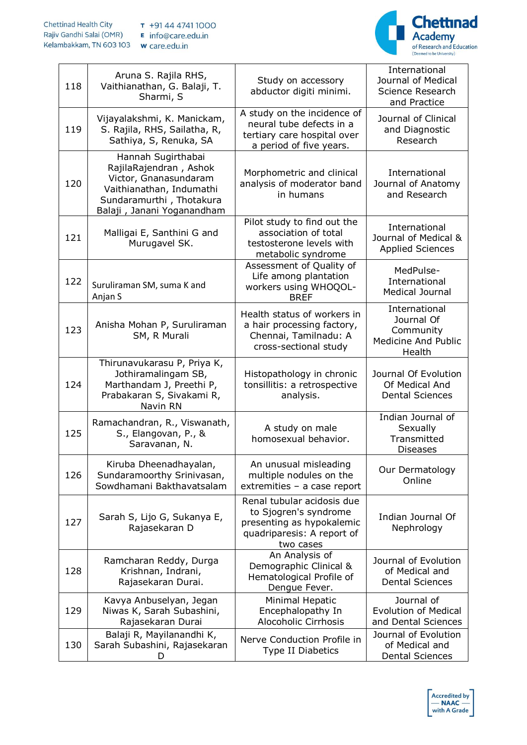

| 118 | Aruna S. Rajila RHS,<br>Vaithianathan, G. Balaji, T.<br>Sharmi, S                                                                                           | Study on accessory<br>abductor digiti minimi.                                                                               | International<br>Journal of Medical<br>Science Research<br>and Practice          |
|-----|-------------------------------------------------------------------------------------------------------------------------------------------------------------|-----------------------------------------------------------------------------------------------------------------------------|----------------------------------------------------------------------------------|
| 119 | Vijayalakshmi, K. Manickam,<br>S. Rajila, RHS, Sailatha, R,<br>Sathiya, S, Renuka, SA                                                                       | A study on the incidence of<br>neural tube defects in a<br>tertiary care hospital over<br>a period of five years.           | Journal of Clinical<br>and Diagnostic<br>Research                                |
| 120 | Hannah Sugirthabai<br>RajilaRajendran, Ashok<br>Victor, Gnanasundaram<br>Vaithianathan, Indumathi<br>Sundaramurthi, Thotakura<br>Balaji, Janani Yoganandham | Morphometric and clinical<br>analysis of moderator band<br>in humans                                                        | International<br>Journal of Anatomy<br>and Research                              |
| 121 | Malligai E, Santhini G and<br>Murugavel SK.                                                                                                                 | Pilot study to find out the<br>association of total<br>testosterone levels with<br>metabolic syndrome                       | International<br>Journal of Medical &<br><b>Applied Sciences</b>                 |
| 122 | Suruliraman SM, suma K and<br>Anjan S                                                                                                                       | Assessment of Quality of<br>Life among plantation<br>workers using WHOQOL-<br><b>BREF</b>                                   | MedPulse-<br>International<br><b>Medical Journal</b>                             |
| 123 | Anisha Mohan P, Suruliraman<br>SM, R Murali                                                                                                                 | Health status of workers in<br>a hair processing factory,<br>Chennai, Tamilnadu: A<br>cross-sectional study                 | International<br>Journal Of<br>Community<br><b>Medicine And Public</b><br>Health |
| 124 | Thirunavukarasu P, Priya K,<br>Jothiramalingam SB,<br>Marthandam J, Preethi P,<br>Prabakaran S, Sivakami R,<br>Navin RN                                     | Histopathology in chronic<br>tonsillitis: a retrospective<br>analysis.                                                      | Journal Of Evolution<br>Of Medical And<br><b>Dental Sciences</b>                 |
| 125 | Ramachandran, R., Viswanath,<br>S., Elangovan, P., &<br>Saravanan, N.                                                                                       | A study on male<br>homosexual behavior.                                                                                     | Indian Journal of<br>Sexually<br>Transmitted<br><b>Diseases</b>                  |
| 126 | Kiruba Dheenadhayalan,<br>Sundaramoorthy Srinivasan,<br>Sowdhamani Bakthavatsalam                                                                           | An unusual misleading<br>multiple nodules on the<br>extremities - a case report                                             | Our Dermatology<br>Online                                                        |
| 127 | Sarah S, Lijo G, Sukanya E,<br>Rajasekaran D                                                                                                                | Renal tubular acidosis due<br>to Sjogren's syndrome<br>presenting as hypokalemic<br>quadriparesis: A report of<br>two cases | Indian Journal Of<br>Nephrology                                                  |
| 128 | Ramcharan Reddy, Durga<br>Krishnan, Indrani,<br>Rajasekaran Durai.                                                                                          | An Analysis of<br>Demographic Clinical &<br>Hematological Profile of<br>Dengue Fever.                                       | Journal of Evolution<br>of Medical and<br><b>Dental Sciences</b>                 |
| 129 | Kavya Anbuselyan, Jegan<br>Niwas K, Sarah Subashini,<br>Rajasekaran Durai                                                                                   | Minimal Hepatic<br>Encephalopathy In<br>Alocoholic Cirrhosis                                                                | Journal of<br><b>Evolution of Medical</b><br>and Dental Sciences                 |
| 130 | Balaji R, Mayilanandhi K,                                                                                                                                   | Nerve Conduction Profile in                                                                                                 | Journal of Evolution                                                             |

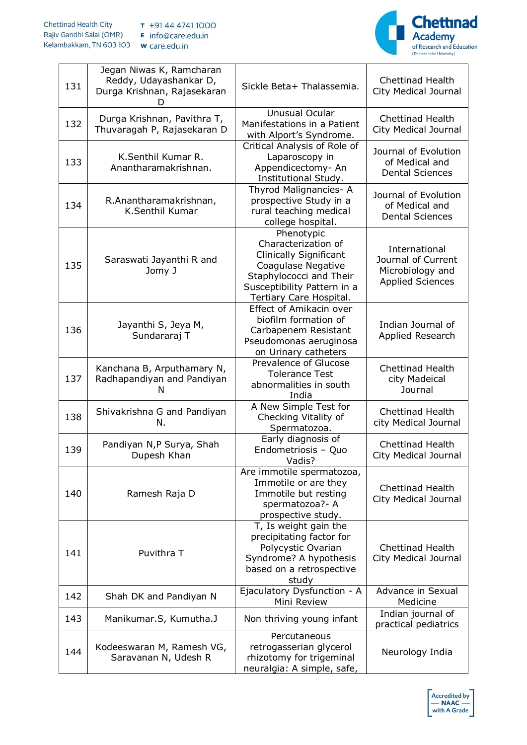

| 131 | Jegan Niwas K, Ramcharan<br>Reddy, Udayashankar D,<br>Durga Krishnan, Rajasekaran | Sickle Beta+ Thalassemia.                                                                                                                                              | <b>Chettinad Health</b><br>City Medical Journal                                    |
|-----|-----------------------------------------------------------------------------------|------------------------------------------------------------------------------------------------------------------------------------------------------------------------|------------------------------------------------------------------------------------|
| 132 | Durga Krishnan, Pavithra T,<br>Thuvaragah P, Rajasekaran D                        | Unusual Ocular<br>Manifestations in a Patient<br>with Alport's Syndrome.                                                                                               | <b>Chettinad Health</b><br>City Medical Journal                                    |
| 133 | K.Senthil Kumar R.<br>Anantharamakrishnan.                                        | Critical Analysis of Role of<br>Laparoscopy in<br>Appendicectomy-An<br><b>Institutional Study.</b>                                                                     | Journal of Evolution<br>of Medical and<br><b>Dental Sciences</b>                   |
| 134 | R.Anantharamakrishnan,<br>K.Senthil Kumar                                         | Thyrod Malignancies- A<br>prospective Study in a<br>rural teaching medical<br>college hospital.                                                                        | Journal of Evolution<br>of Medical and<br><b>Dental Sciences</b>                   |
| 135 | Saraswati Jayanthi R and<br>Jomy J                                                | Phenotypic<br>Characterization of<br>Clinically Significant<br>Coagulase Negative<br>Staphylococci and Their<br>Susceptibility Pattern in a<br>Tertiary Care Hospital. | International<br>Journal of Current<br>Microbiology and<br><b>Applied Sciences</b> |
| 136 | Jayanthi S, Jeya M,<br>Sundararaj T                                               | Effect of Amikacin over<br>biofilm formation of<br>Carbapenem Resistant<br>Pseudomonas aeruginosa<br>on Urinary catheters                                              | Indian Journal of<br>Applied Research                                              |
| 137 | Kanchana B, Arputhamary N,<br>Radhapandiyan and Pandiyan<br>N                     | Prevalence of Glucose<br><b>Tolerance Test</b><br>abnormalities in south<br>India                                                                                      | <b>Chettinad Health</b><br>city Madeical<br>Journal                                |
| 138 | Shivakrishna G and Pandiyan<br>N.                                                 | A New Simple Test for<br>Checking Vitality of<br>Spermatozoa.                                                                                                          | <b>Chettinad Health</b><br>city Medical Journal                                    |
| 139 | Pandiyan N,P Surya, Shah<br>Dupesh Khan                                           | Early diagnosis of<br>Endometriosis - Quo<br>Vadis?                                                                                                                    | <b>Chettinad Health</b><br>City Medical Journal                                    |
| 140 | Ramesh Raja D                                                                     | Are immotile spermatozoa,<br>Immotile or are they<br>Immotile but resting<br>spermatozoa?- A<br>prospective study.                                                     | <b>Chettinad Health</b><br>City Medical Journal                                    |
| 141 | Puvithra T                                                                        | T, Is weight gain the<br>precipitating factor for<br>Polycystic Ovarian<br>Syndrome? A hypothesis<br>based on a retrospective<br>study                                 | <b>Chettinad Health</b><br>City Medical Journal                                    |
| 142 | Shah DK and Pandiyan N                                                            | Ejaculatory Dysfunction - A<br>Mini Review                                                                                                                             | Advance in Sexual<br>Medicine                                                      |
| 143 | Manikumar.S, Kumutha.J                                                            | Non thriving young infant                                                                                                                                              | Indian journal of<br>practical pediatrics                                          |
| 144 | Kodeeswaran M, Ramesh VG,<br>Saravanan N, Udesh R                                 | Percutaneous<br>retrogasserian glycerol<br>rhizotomy for trigeminal<br>neuralgia: A simple, safe,                                                                      | Neurology India                                                                    |

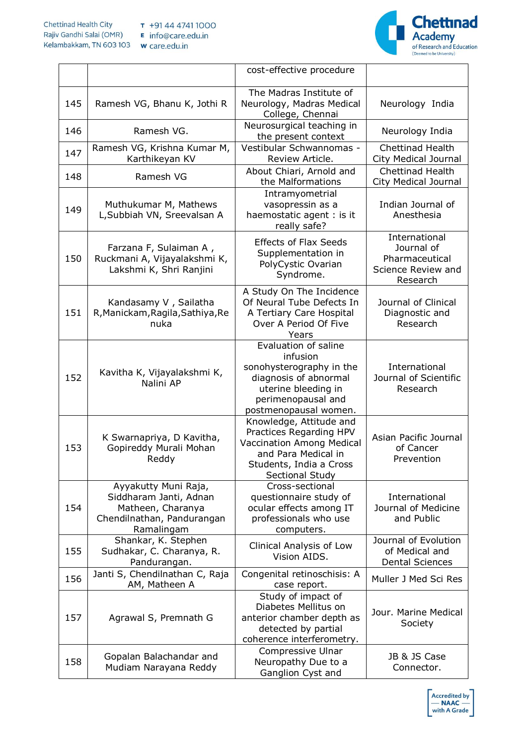

|     |                                                                                                                 | cost-effective procedure                                                                                                                                    |                                                                                 |
|-----|-----------------------------------------------------------------------------------------------------------------|-------------------------------------------------------------------------------------------------------------------------------------------------------------|---------------------------------------------------------------------------------|
| 145 | Ramesh VG, Bhanu K, Jothi R                                                                                     | The Madras Institute of<br>Neurology, Madras Medical<br>College, Chennai                                                                                    | Neurology India                                                                 |
| 146 | Ramesh VG.                                                                                                      | Neurosurgical teaching in<br>the present context                                                                                                            | Neurology India                                                                 |
| 147 | Ramesh VG, Krishna Kumar M,<br>Karthikeyan KV                                                                   | Vestibular Schwannomas -<br>Review Article.                                                                                                                 | <b>Chettinad Health</b><br>City Medical Journal                                 |
| 148 | Ramesh VG                                                                                                       | About Chiari, Arnold and<br>the Malformations                                                                                                               | Chettinad Health<br>City Medical Journal                                        |
| 149 | Muthukumar M, Mathews<br>L, Subbiah VN, Sreevalsan A                                                            | Intramyometrial<br>vasopressin as a<br>haemostatic agent : is it<br>really safe?                                                                            | Indian Journal of<br>Anesthesia                                                 |
| 150 | Farzana F, Sulaiman A,<br>Ruckmani A, Vijayalakshmi K,<br>Lakshmi K, Shri Ranjini                               | <b>Effects of Flax Seeds</b><br>Supplementation in<br>PolyCystic Ovarian<br>Syndrome.                                                                       | International<br>Journal of<br>Pharmaceutical<br>Science Review and<br>Research |
| 151 | Kandasamy V, Sailatha<br>R, Manickam, Ragila, Sathiya, Re<br>nuka                                               | A Study On The Incidence<br>Of Neural Tube Defects In<br>A Tertiary Care Hospital<br>Over A Period Of Five<br>Years                                         | Journal of Clinical<br>Diagnostic and<br>Research                               |
| 152 | Kavitha K, Vijayalakshmi K,<br>Nalini AP                                                                        | Evaluation of saline<br>infusion<br>sonohysterography in the<br>diagnosis of abnormal<br>uterine bleeding in<br>perimenopausal and<br>postmenopausal women. | International<br>Journal of Scientific<br>Research                              |
| 153 | K Swarnapriya, D Kavitha,<br>Gopireddy Murali Mohan<br>Reddy                                                    | Knowledge, Attitude and<br>Practices Regarding HPV<br>Vaccination Among Medical<br>and Para Medical in<br>Students, India a Cross<br>Sectional Study        | Asian Pacific Journal<br>of Cancer<br>Prevention                                |
| 154 | Ayyakutty Muni Raja,<br>Siddharam Janti, Adnan<br>Matheen, Charanya<br>Chendilnathan, Pandurangan<br>Ramalingam | Cross-sectional<br>questionnaire study of<br>ocular effects among IT<br>professionals who use<br>computers.                                                 | International<br>Journal of Medicine<br>and Public                              |
| 155 | Shankar, K. Stephen<br>Sudhakar, C. Charanya, R.<br>Pandurangan.                                                | Clinical Analysis of Low<br>Vision AIDS.                                                                                                                    | Journal of Evolution<br>of Medical and<br><b>Dental Sciences</b>                |
| 156 | Janti S, Chendilnathan C, Raja<br>AM, Matheen A                                                                 | Congenital retinoschisis: A<br>case report.                                                                                                                 | Muller J Med Sci Res                                                            |
| 157 | Agrawal S, Premnath G                                                                                           | Study of impact of<br>Diabetes Mellitus on<br>anterior chamber depth as<br>detected by partial<br>coherence interferometry.                                 | Jour. Marine Medical<br>Society                                                 |
| 158 | Gopalan Balachandar and<br>Mudiam Narayana Reddy                                                                | Compressive Ulnar<br>Neuropathy Due to a<br>Ganglion Cyst and                                                                                               | JB & JS Case<br>Connector.                                                      |

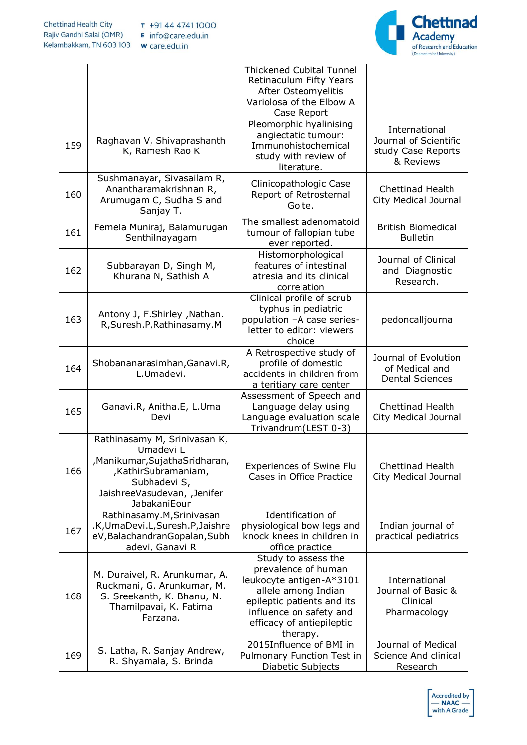

|     |                                                                                                                                                                   | <b>Thickened Cubital Tunnel</b><br>Retinaculum Fifty Years<br>After Osteomyelitis<br>Variolosa of the Elbow A<br>Case Report                                                                    |                                                                           |
|-----|-------------------------------------------------------------------------------------------------------------------------------------------------------------------|-------------------------------------------------------------------------------------------------------------------------------------------------------------------------------------------------|---------------------------------------------------------------------------|
| 159 | Raghavan V, Shivaprashanth<br>K, Ramesh Rao K                                                                                                                     | Pleomorphic hyalinising<br>angiectatic tumour:<br>Immunohistochemical<br>study with review of<br>literature.                                                                                    | International<br>Journal of Scientific<br>study Case Reports<br>& Reviews |
| 160 | Sushmanayar, Sivasailam R,<br>Anantharamakrishnan R,<br>Arumugam C, Sudha S and<br>Sanjay T.                                                                      | Clinicopathologic Case<br>Report of Retrosternal<br>Goite.                                                                                                                                      | <b>Chettinad Health</b><br>City Medical Journal                           |
| 161 | Femela Muniraj, Balamurugan<br>Senthilnayagam                                                                                                                     | The smallest adenomatoid<br>tumour of fallopian tube<br>ever reported.                                                                                                                          | <b>British Biomedical</b><br><b>Bulletin</b>                              |
| 162 | Subbarayan D, Singh M,<br>Khurana N, Sathish A                                                                                                                    | Histomorphological<br>features of intestinal<br>atresia and its clinical<br>correlation                                                                                                         | Journal of Clinical<br>and Diagnostic<br>Research.                        |
| 163 | Antony J, F.Shirley , Nathan.<br>R, Suresh.P, Rathinasamy.M                                                                                                       | Clinical profile of scrub<br>typhus in pediatric<br>population -A case series-<br>letter to editor: viewers<br>choice                                                                           | pedoncalljourna                                                           |
| 164 | Shobananarasimhan, Ganavi.R,<br>L.Umadevi.                                                                                                                        | A Retrospective study of<br>profile of domestic<br>accidents in children from<br>a teritiary care center                                                                                        | Journal of Evolution<br>of Medical and<br><b>Dental Sciences</b>          |
| 165 | Ganavi.R, Anitha.E, L.Uma<br>Devi                                                                                                                                 | Assessment of Speech and<br>Language delay using<br>Language evaluation scale<br>Trivandrum(LEST 0-3)                                                                                           | <b>Chettinad Health</b><br><b>City Medical Journal</b>                    |
| 166 | Rathinasamy M, Srinivasan K,<br>Umadevi L<br>Manikumar, Sujatha Sridharan,<br>,KathirSubramaniam,<br>Subhadevi S,<br>JaishreeVasudevan, , Jenifer<br>JabakaniEour | <b>Experiences of Swine Flu</b><br>Cases in Office Practice                                                                                                                                     | Chettinad Health<br>City Medical Journal                                  |
| 167 | Rathinasamy.M, Srinivasan<br>.K, UmaDevi.L, Suresh.P, Jaishre<br>eV, Balachandran Gopalan, Subh<br>adevi, Ganavi R                                                | Identification of<br>physiological bow legs and<br>knock knees in children in<br>office practice                                                                                                | Indian journal of<br>practical pediatrics                                 |
| 168 | M. Duraivel, R. Arunkumar, A.<br>Ruckmani, G. Arunkumar, M.<br>S. Sreekanth, K. Bhanu, N.<br>Thamilpavai, K. Fatima<br>Farzana.                                   | Study to assess the<br>prevalence of human<br>leukocyte antigen-A*3101<br>allele among Indian<br>epileptic patients and its<br>influence on safety and<br>efficacy of antiepileptic<br>therapy. | International<br>Journal of Basic &<br>Clinical<br>Pharmacology           |
| 169 | S. Latha, R. Sanjay Andrew,<br>R. Shyamala, S. Brinda                                                                                                             | 2015Influence of BMI in<br>Pulmonary Function Test in<br>Diabetic Subjects                                                                                                                      | Journal of Medical<br>Science And clinical<br>Research                    |

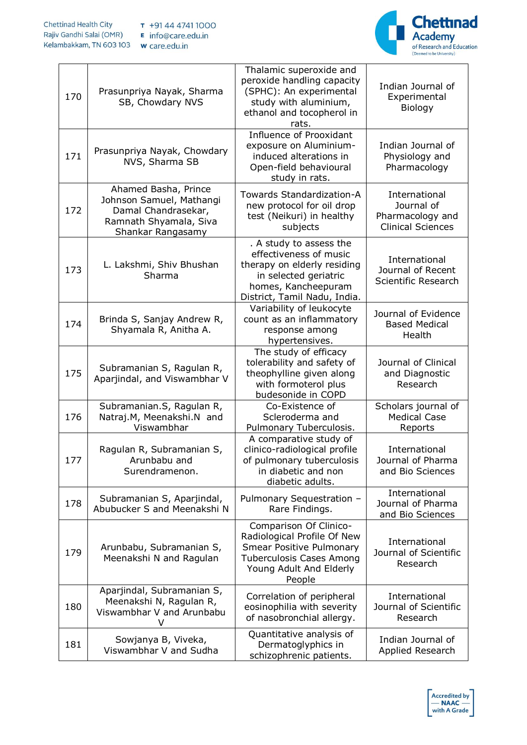

| 170 | Prasunpriya Nayak, Sharma<br>SB, Chowdary NVS                                                                          | Thalamic superoxide and<br>peroxide handling capacity<br>(SPHC): An experimental<br>study with aluminium,<br>ethanol and tocopherol in<br>rats.                  | Indian Journal of<br>Experimental<br>Biology                                |
|-----|------------------------------------------------------------------------------------------------------------------------|------------------------------------------------------------------------------------------------------------------------------------------------------------------|-----------------------------------------------------------------------------|
| 171 | Prasunpriya Nayak, Chowdary<br>NVS, Sharma SB                                                                          | Influence of Prooxidant<br>exposure on Aluminium-<br>induced alterations in<br>Open-field behavioural<br>study in rats.                                          | Indian Journal of<br>Physiology and<br>Pharmacology                         |
| 172 | Ahamed Basha, Prince<br>Johnson Samuel, Mathangi<br>Damal Chandrasekar,<br>Ramnath Shyamala, Siva<br>Shankar Rangasamy | Towards Standardization-A<br>new protocol for oil drop<br>test (Neikuri) in healthy<br>subjects                                                                  | International<br>Journal of<br>Pharmacology and<br><b>Clinical Sciences</b> |
| 173 | L. Lakshmi, Shiv Bhushan<br>Sharma                                                                                     | . A study to assess the<br>effectiveness of music<br>therapy on elderly residing<br>in selected geriatric<br>homes, Kancheepuram<br>District, Tamil Nadu, India. | International<br>Journal of Recent<br>Scientific Research                   |
| 174 | Brinda S, Sanjay Andrew R,<br>Shyamala R, Anitha A.                                                                    | Variability of leukocyte<br>count as an inflammatory<br>response among<br>hypertensives.                                                                         | Journal of Evidence<br><b>Based Medical</b><br>Health                       |
| 175 | Subramanian S, Ragulan R,<br>Aparjindal, and Viswambhar V                                                              | The study of efficacy<br>tolerability and safety of<br>theophylline given along<br>with formoterol plus<br>budesonide in COPD                                    | Journal of Clinical<br>and Diagnostic<br>Research                           |
| 176 | Subramanian.S, Ragulan R,<br>Natraj.M, Meenakshi.N and<br>Viswambhar                                                   | Co-Existence of<br>Scleroderma and<br>Pulmonary Tuberculosis.                                                                                                    | Scholars journal of<br><b>Medical Case</b><br>Reports                       |
| 177 | Ragulan R, Subramanian S,<br>Arunbabu and<br>Surendramenon.                                                            | A comparative study of<br>clinico-radiological profile<br>of pulmonary tuberculosis<br>in diabetic and non<br>diabetic adults.                                   | International<br>Journal of Pharma<br>and Bio Sciences                      |
| 178 | Subramanian S, Aparjindal,<br>Abubucker S and Meenakshi N                                                              | Pulmonary Sequestration -<br>Rare Findings.                                                                                                                      | International<br>Journal of Pharma<br>and Bio Sciences                      |
| 179 | Arunbabu, Subramanian S,<br>Meenakshi N and Ragulan                                                                    | Comparison Of Clinico-<br>Radiological Profile Of New<br><b>Smear Positive Pulmonary</b><br><b>Tuberculosis Cases Among</b><br>Young Adult And Elderly<br>People | International<br>Journal of Scientific<br>Research                          |
| 180 | Aparjindal, Subramanian S,<br>Meenakshi N, Ragulan R,<br>Viswambhar V and Arunbabu<br>V                                | Correlation of peripheral<br>eosinophilia with severity<br>of nasobronchial allergy.                                                                             | International<br>Journal of Scientific<br>Research                          |
| 181 | Sowjanya B, Viveka,<br>Viswambhar V and Sudha                                                                          | Quantitative analysis of<br>Dermatoglyphics in<br>schizophrenic patients.                                                                                        | Indian Journal of<br>Applied Research                                       |